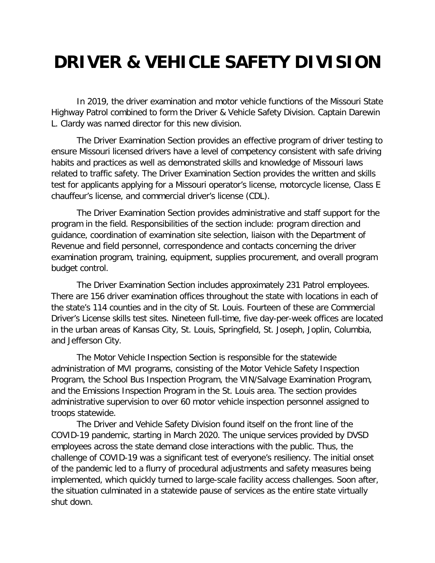## **DRIVER & VEHICLE SAFETY DIVISION**

In 2019, the driver examination and motor vehicle functions of the Missouri State Highway Patrol combined to form the Driver & Vehicle Safety Division. Captain Darewin L. Clardy was named director for this new division.

The Driver Examination Section provides an effective program of driver testing to ensure Missouri licensed drivers have a level of competency consistent with safe driving habits and practices as well as demonstrated skills and knowledge of Missouri laws related to traffic safety. The Driver Examination Section provides the written and skills test for applicants applying for a Missouri operator's license, motorcycle license, Class E chauffeur's license, and commercial driver's license (CDL).

The Driver Examination Section provides administrative and staff support for the program in the field. Responsibilities of the section include: program direction and guidance, coordination of examination site selection, liaison with the Department of Revenue and field personnel, correspondence and contacts concerning the driver examination program, training, equipment, supplies procurement, and overall program budget control.

The Driver Examination Section includes approximately 231 Patrol employees. There are 156 driver examination offices throughout the state with locations in each of the state's 114 counties and in the city of St. Louis. Fourteen of these are Commercial Driver's License skills test sites. Nineteen full-time, five day-per-week offices are located in the urban areas of Kansas City, St. Louis, Springfield, St. Joseph, Joplin, Columbia, and Jefferson City.

The Motor Vehicle Inspection Section is responsible for the statewide administration of MVI programs, consisting of the Motor Vehicle Safety Inspection Program, the School Bus Inspection Program, the VIN/Salvage Examination Program, and the Emissions Inspection Program in the St. Louis area. The section provides administrative supervision to over 60 motor vehicle inspection personnel assigned to troops statewide.

The Driver and Vehicle Safety Division found itself on the front line of the COVID-19 pandemic, starting in March 2020. The unique services provided by DVSD employees across the state demand close interactions with the public. Thus, the challenge of COVID-19 was a significant test of everyone's resiliency. The initial onset of the pandemic led to a flurry of procedural adjustments and safety measures being implemented, which quickly turned to large-scale facility access challenges. Soon after, the situation culminated in a statewide pause of services as the entire state virtually shut down.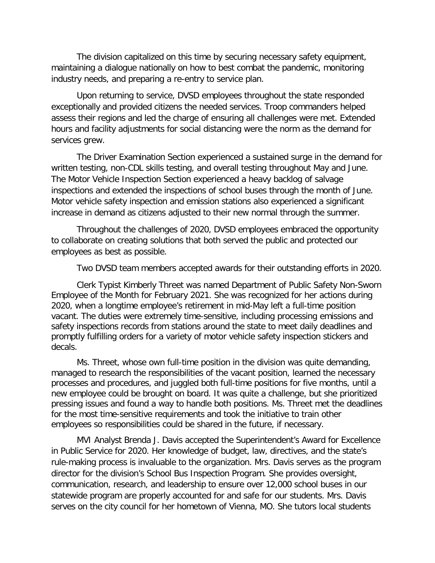The division capitalized on this time by securing necessary safety equipment, maintaining a dialogue nationally on how to best combat the pandemic, monitoring industry needs, and preparing a re-entry to service plan.

Upon returning to service, DVSD employees throughout the state responded exceptionally and provided citizens the needed services. Troop commanders helped assess their regions and led the charge of ensuring all challenges were met. Extended hours and facility adjustments for social distancing were the norm as the demand for services grew.

The Driver Examination Section experienced a sustained surge in the demand for written testing, non-CDL skills testing, and overall testing throughout May and June. The Motor Vehicle Inspection Section experienced a heavy backlog of salvage inspections and extended the inspections of school buses through the month of June. Motor vehicle safety inspection and emission stations also experienced a significant increase in demand as citizens adjusted to their new normal through the summer.

Throughout the challenges of 2020, DVSD employees embraced the opportunity to collaborate on creating solutions that both served the public and protected our employees as best as possible.

Two DVSD team members accepted awards for their outstanding efforts in 2020.

Clerk Typist Kimberly Threet was named Department of Public Safety Non-Sworn Employee of the Month for February 2021. She was recognized for her actions during 2020, when a longtime employee's retirement in mid-May left a full-time position vacant. The duties were extremely time-sensitive, including processing emissions and safety inspections records from stations around the state to meet daily deadlines and promptly fulfilling orders for a variety of motor vehicle safety inspection stickers and decals.

Ms. Threet, whose own full-time position in the division was quite demanding, managed to research the responsibilities of the vacant position, learned the necessary processes and procedures, and juggled both full-time positions for five months, until a new employee could be brought on board. It was quite a challenge, but she prioritized pressing issues and found a way to handle both positions. Ms. Threet met the deadlines for the most time-sensitive requirements and took the initiative to train other employees so responsibilities could be shared in the future, if necessary.

MVI Analyst Brenda J. Davis accepted the Superintendent's Award for Excellence in Public Service for 2020. Her knowledge of budget, law, directives, and the state's rule-making process is invaluable to the organization. Mrs. Davis serves as the program director for the division's School Bus Inspection Program. She provides oversight, communication, research, and leadership to ensure over 12,000 school buses in our statewide program are properly accounted for and safe for our students. Mrs. Davis serves on the city council for her hometown of Vienna, MO. She tutors local students